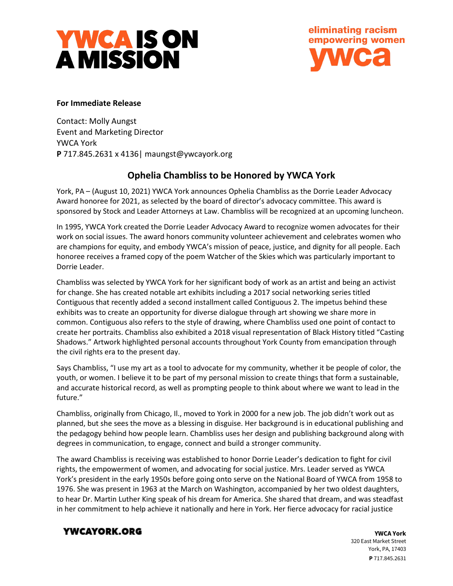

eliminating racism empowering women **VC2** 

### **For Immediate Release**

Contact: Molly Aungst Event and Marketing Director YWCA York **P** 717.845.2631 x 4136| maungst@ywcayork.org

# **Ophelia Chambliss to be Honored by YWCA York**

York, PA – (August 10, 2021) YWCA York announces Ophelia Chambliss as the Dorrie Leader Advocacy Award honoree for 2021, as selected by the board of director's advocacy committee. This award is sponsored by Stock and Leader Attorneys at Law. Chambliss will be recognized at an upcoming luncheon.

In 1995, YWCA York created the Dorrie Leader Advocacy Award to recognize women advocates for their work on social issues. The award honors community volunteer achievement and celebrates women who are champions for equity, and embody YWCA's mission of peace, justice, and dignity for all people. Each honoree receives a framed copy of the poem Watcher of the Skies which was particularly important to Dorrie Leader.

Chambliss was selected by YWCA York for her significant body of work as an artist and being an activist for change. She has created notable art exhibits including a 2017 social networking series titled Contiguous that recently added a second installment called Contiguous 2. The impetus behind these exhibits was to create an opportunity for diverse dialogue through art showing we share more in common. Contiguous also refers to the style of drawing, where Chambliss used one point of contact to create her portraits. Chambliss also exhibited a 2018 visual representation of Black History titled "Casting Shadows." Artwork highlighted personal accounts throughout York County from emancipation through the civil rights era to the present day.

Says Chambliss, "I use my art as a tool to advocate for my community, whether it be people of color, the youth, or women. I believe it to be part of my personal mission to create things that form a sustainable, and accurate historical record, as well as prompting people to think about where we want to lead in the future."

Chambliss, originally from Chicago, Il., moved to York in 2000 for a new job. The job didn't work out as planned, but she sees the move as a blessing in disguise. Her background is in educational publishing and the pedagogy behind how people learn. Chambliss uses her design and publishing background along with degrees in communication, to engage, connect and build a stronger community.

The award Chambliss is receiving was established to honor Dorrie Leader's dedication to fight for civil rights, the empowerment of women, and advocating for social justice. Mrs. Leader served as YWCA York's president in the early 1950s before going onto serve on the National Board of YWCA from 1958 to 1976. She was present in 1963 at the March on Washington, accompanied by her two oldest daughters, to hear Dr. Martin Luther King speak of his dream for America. She shared that dream, and was steadfast in her commitment to help achieve it nationally and here in York. Her fierce advocacy for racial justice

## YWCAYORK.ORG

**YWCA York** 320 East Market Street York, PA, 17403 **P** 717.845.2631